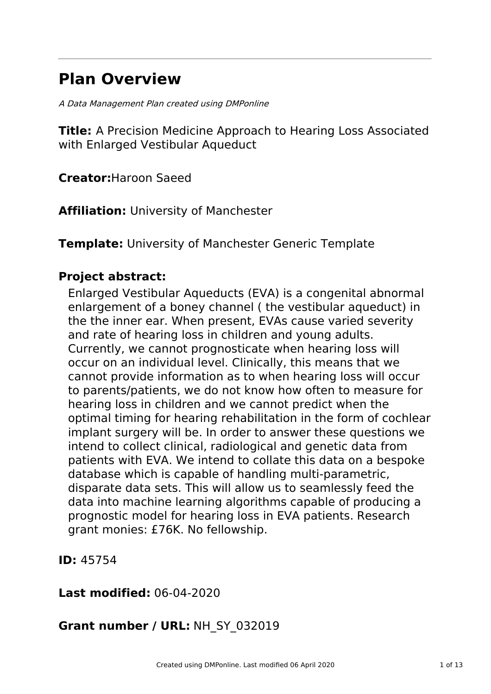# **Plan Overview**

A Data Management Plan created using DMPonline

**Title:** A Precision Medicine Approach to Hearing Loss Associated with Enlarged Vestibular Aqueduct

**Creator:**Haroon Saeed

**Affiliation:** University of Manchester

**Template:** University of Manchester Generic Template

### **Project abstract:**

Enlarged Vestibular Aqueducts (EVA) is a congenital abnormal enlargement of a boney channel ( the vestibular aqueduct) in the the inner ear. When present, EVAs cause varied severity and rate of hearing loss in children and young adults. Currently, we cannot prognosticate when hearing loss will occur on an individual level. Clinically, this means that we cannot provide information as to when hearing loss will occur to parents/patients, we do not know how often to measure for hearing loss in children and we cannot predict when the optimal timing for hearing rehabilitation in the form of cochlear implant surgery will be. In order to answer these questions we intend to collect clinical, radiological and genetic data from patients with EVA. We intend to collate this data on a bespoke database which is capable of handling multi-parametric, disparate data sets. This will allow us to seamlessly feed the data into machine learning algorithms capable of producing a prognostic model for hearing loss in EVA patients. Research grant monies: £76K. No fellowship.

**ID:** 45754

**Last modified:** 06-04-2020

# **Grant number / URL:** NH\_SY\_032019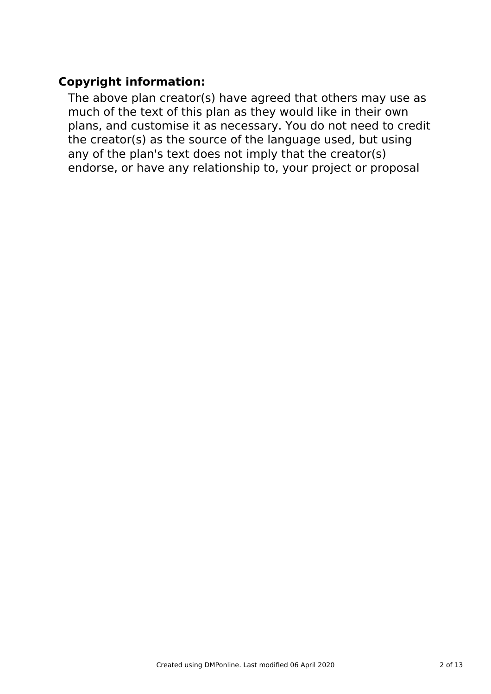# **Copyright information:**

The above plan creator(s) have agreed that others may use as much of the text of this plan as they would like in their own plans, and customise it as necessary. You do not need to credit the creator(s) as the source of the language used, but using any of the plan's text does not imply that the creator(s) endorse, or have any relationship to, your project or proposal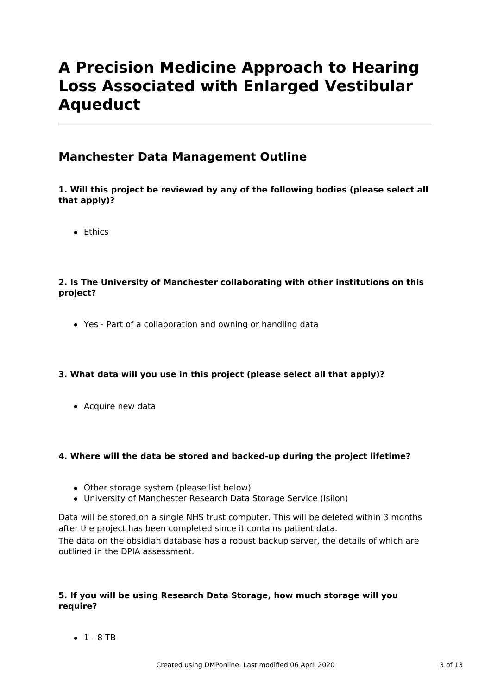# **A Precision Medicine Approach to Hearing Loss Associated with Enlarged Vestibular Aqueduct**

### **Manchester Data Management Outline**

### **1. Will this project be reviewed by any of the following bodies (please select all that apply)?**

**•** Ethics

### **2. Is The University of Manchester collaborating with other institutions on this project?**

Yes - Part of a collaboration and owning or handling data

### **3. What data will you use in this project (please select all that apply)?**

• Acquire new data

### **4. Where will the data be stored and backed-up during the project lifetime?**

- Other storage system (please list below)
- University of Manchester Research Data Storage Service (Isilon)

Data will be stored on a single NHS trust computer. This will be deleted within 3 months after the project has been completed since it contains patient data.

The data on the obsidian database has a robust backup server, the details of which are outlined in the DPIA assessment.

### **5. If you will be using Research Data Storage, how much storage will you require?**

 $-1 - 8$  TB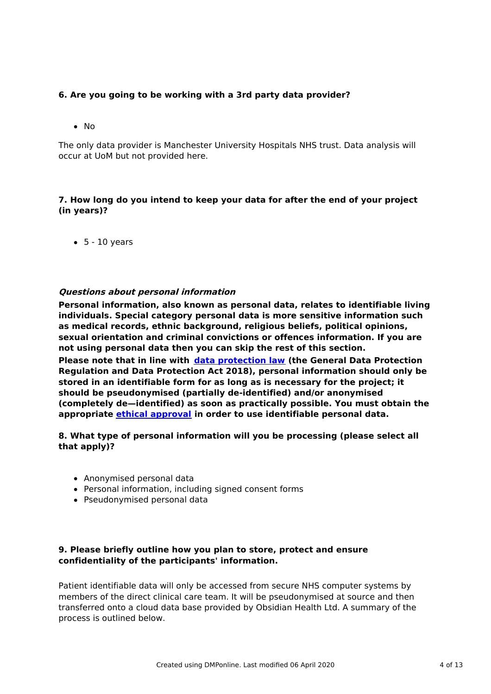### **6. Are you going to be working with a 3rd party data provider?**

 $\bullet$  No

The only data provider is Manchester University Hospitals NHS trust. Data analysis will occur at UoM but not provided here.

### **7. How long do you intend to keep your data for after the end of your project (in years)?**

 $-5 - 10$  years

### **Questions about personal information**

**Personal information, also known as personal data, relates to identifiable living individuals. Special category personal data is more sensitive information such as medical records, ethnic background, religious beliefs, political opinions, sexual orientation and criminal convictions or offences information. If you are not using personal data then you can skip the rest of this section.**

**Please note that in line with data [protection](http://www.staffnet.manchester.ac.uk/igo/data-protection/what-is-data-protection/) law (the General Data Protection Regulation and Data Protection Act 2018), personal information should only be stored in an identifiable form for as long as is necessary for the project; it should be pseudonymised (partially de-identified) and/or anonymised (completely de—identified) as soon as practically possible. You must obtain the appropriate ethical [approval](http://www.staffnet.manchester.ac.uk/services/rbess/governance/ethics/new-online-system-for-ethics-review-erm/) in order to use identifiable personal data.**

### **8. What type of personal information will you be processing (please select all that apply)?**

- Anonymised personal data
- Personal information, including signed consent forms
- Pseudonymised personal data

### **9. Please briefly outline how you plan to store, protect and ensure confidentiality of the participants' information.**

Patient identifiable data will only be accessed from secure NHS computer systems by members of the direct clinical care team. It will be pseudonymised at source and then transferred onto a cloud data base provided by Obsidian Health Ltd. A summary of the process is outlined below.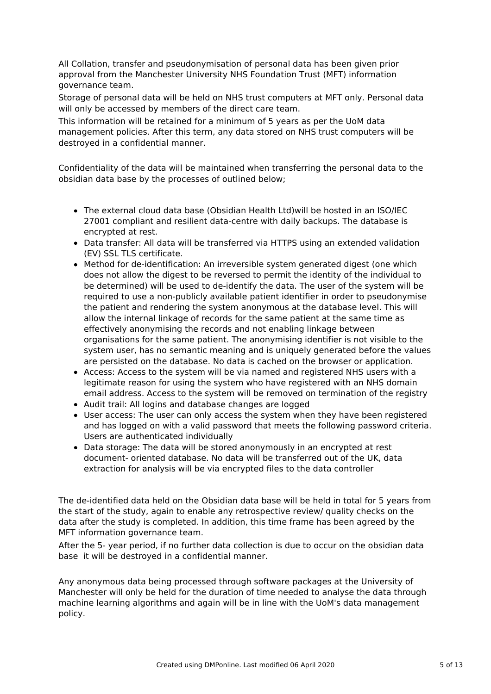All Collation, transfer and pseudonymisation of personal data has been given prior approval from the Manchester University NHS Foundation Trust (MFT) information governance team.

Storage of personal data will be held on NHS trust computers at MFT only. Personal data will only be accessed by members of the direct care team.

This information will be retained for a minimum of 5 years as per the UoM data management policies. After this term, any data stored on NHS trust computers will be destroyed in a confidential manner.

Confidentiality of the data will be maintained when transferring the personal data to the obsidian data base by the processes of outlined below;

- The external cloud data base (Obsidian Health Ltd)will be hosted in an ISO/IEC 27001 compliant and resilient data-centre with daily backups. The database is encrypted at rest.
- Data transfer: All data will be transferred via HTTPS using an extended validation (EV) SSL TLS certificate.
- Method for de-identification: An irreversible system generated digest (one which does not allow the digest to be reversed to permit the identity of the individual to be determined) will be used to de-identify the data. The user of the system will be required to use a non-publicly available patient identifier in order to pseudonymise the patient and rendering the system anonymous at the database level. This will allow the internal linkage of records for the same patient at the same time as effectively anonymising the records and not enabling linkage between organisations for the same patient. The anonymising identifier is not visible to the system user, has no semantic meaning and is uniquely generated before the values are persisted on the database. No data is cached on the browser or application.
- Access: Access to the system will be via named and registered NHS users with a legitimate reason for using the system who have registered with an NHS domain email address. Access to the system will be removed on termination of the registry
- Audit trail: All logins and database changes are logged
- User access: The user can only access the system when they have been registered and has logged on with a valid password that meets the following password criteria. Users are authenticated individually
- Data storage: The data will be stored anonymously in an encrypted at rest document- oriented database. No data will be transferred out of the UK, data extraction for analysis will be via encrypted files to the data controller

The de-identified data held on the Obsidian data base will be held in total for 5 years from the start of the study, again to enable any retrospective review/ quality checks on the data after the study is completed. In addition, this time frame has been agreed by the MFT information governance team.

After the 5- year period, if no further data collection is due to occur on the obsidian data base it will be destroyed in a confidential manner.

Any anonymous data being processed through software packages at the University of Manchester will only be held for the duration of time needed to analyse the data through machine learning algorithms and again will be in line with the UoM's data management policy.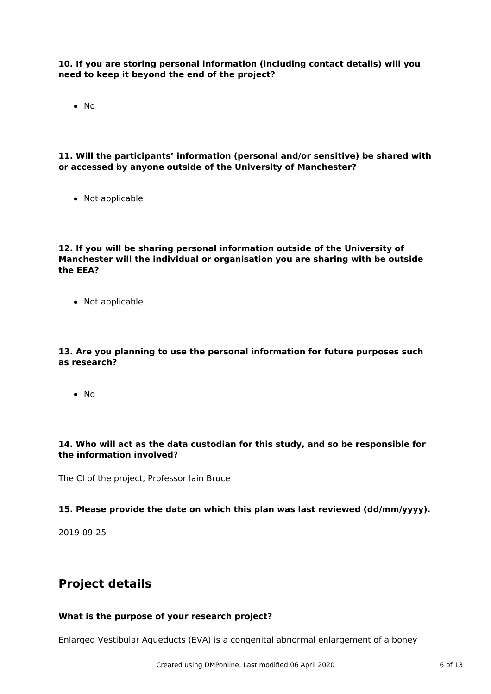**10. If you are storing personal information (including contact details) will you need to keep it beyond the end of the project?**

 $\bullet$  No

**11. Will the participants' information (personal and/or sensitive) be shared with or accessed by anyone outside of the University of Manchester?**

• Not applicable

### **12. If you will be sharing personal information outside of the University of Manchester will the individual or organisation you are sharing with be outside the EEA?**

• Not applicable

### **13. Are you planning to use the personal information for future purposes such as research?**

 $\bullet$  No

### **14. Who will act as the data custodian for this study, and so be responsible for the information involved?**

The CI of the project, Professor Iain Bruce

#### **15. Please provide the date on which this plan was last reviewed (dd/mm/yyyy).**

2019-09-25

### **Project details**

### **What is the purpose of your research project?**

Enlarged Vestibular Aqueducts (EVA) is a congenital abnormal enlargement of a boney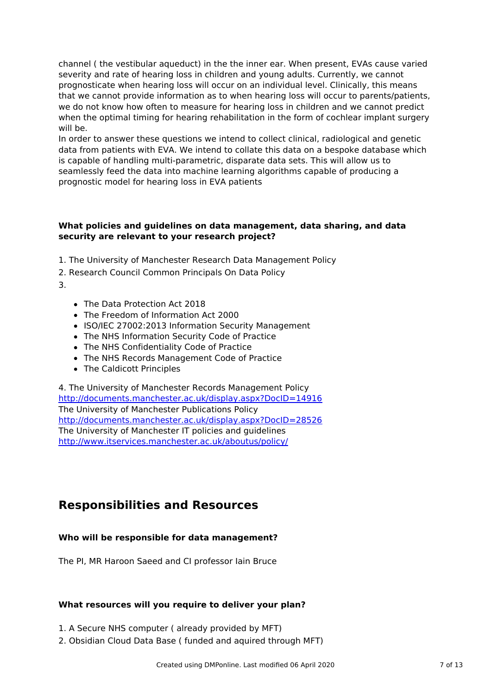channel ( the vestibular aqueduct) in the the inner ear. When present, EVAs cause varied severity and rate of hearing loss in children and young adults. Currently, we cannot prognosticate when hearing loss will occur on an individual level. Clinically, this means that we cannot provide information as to when hearing loss will occur to parents/patients, we do not know how often to measure for hearing loss in children and we cannot predict when the optimal timing for hearing rehabilitation in the form of cochlear implant surgery will be.

In order to answer these questions we intend to collect clinical, radiological and genetic data from patients with EVA. We intend to collate this data on a bespoke database which is capable of handling multi-parametric, disparate data sets. This will allow us to seamlessly feed the data into machine learning algorithms capable of producing a prognostic model for hearing loss in EVA patients

### **What policies and guidelines on data management, data sharing, and data security are relevant to your research project?**

- 1. The University of Manchester Research Data Management Policy
- 2. Research Council Common Principals On Data Policy
- 3.
- The Data Protection Act 2018
- The Freedom of Information Act 2000
- ISO/IEC 27002:2013 Information Security Management
- The NHS Information Security Code of Practice
- The NHS Confidentiality Code of Practice
- The NHS Records Management Code of Practice
- The Caldicott Principles

4. The University of Manchester Records Management Policy <http://documents.manchester.ac.uk/display.aspx?DocID=14916> The University of Manchester Publications Policy <http://documents.manchester.ac.uk/display.aspx?DocID=28526> The University of Manchester IT policies and guidelines <http://www.itservices.manchester.ac.uk/aboutus/policy/>

### **Responsibilities and Resources**

### **Who will be responsible for data management?**

The PI, MR Haroon Saeed and CI professor Iain Bruce

#### **What resources will you require to deliver your plan?**

- 1. A Secure NHS computer ( already provided by MFT)
- 2. Obsidian Cloud Data Base ( funded and aquired through MFT)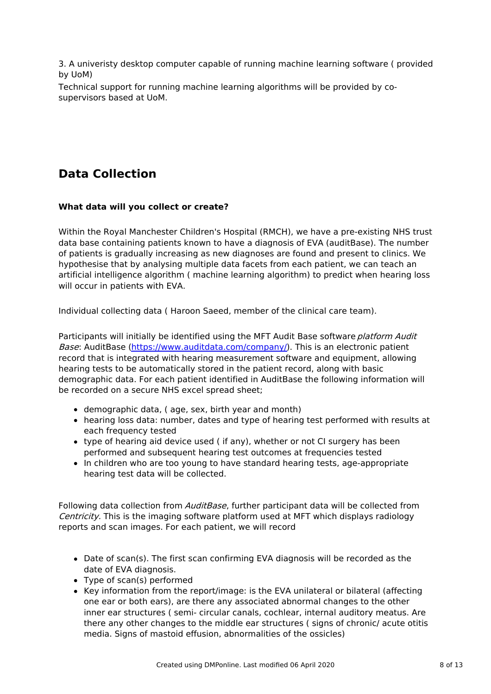3. A univeristy desktop computer capable of running machine learning software ( provided by UoM)

Technical support for running machine learning algorithms will be provided by cosupervisors based at UoM.

# **Data Collection**

### **What data will you collect or create?**

Within the Royal Manchester Children's Hospital (RMCH), we have a pre-existing NHS trust data base containing patients known to have a diagnosis of EVA (auditBase). The number of patients is gradually increasing as new diagnoses are found and present to clinics. We hypothesise that by analysing multiple data facets from each patient, we can teach an artificial intelligence algorithm ( machine learning algorithm) to predict when hearing loss will occur in patients with EVA.

Individual collecting data ( Haroon Saeed, member of the clinical care team).

Participants will initially be identified using the MFT Audit Base software platform Audit Base: AuditBase [\(https://www.auditdata.com/company/](https://www.auditdata.com/company/)). This is an electronic patient record that is integrated with hearing measurement software and equipment, allowing hearing tests to be automatically stored in the patient record, along with basic demographic data. For each patient identified in AuditBase the following information will be recorded on a secure NHS excel spread sheet;

- demographic data, ( age, sex, birth year and month)
- hearing loss data: number, dates and type of hearing test performed with results at each frequency tested
- type of hearing aid device used ( if any), whether or not CI surgery has been performed and subsequent hearing test outcomes at frequencies tested
- In children who are too young to have standard hearing tests, age-appropriate hearing test data will be collected.

Following data collection from *AuditBase*, further participant data will be collected from Centricity. This is the imaging software platform used at MFT which displays radiology reports and scan images. For each patient, we will record

- Date of scan(s). The first scan confirming EVA diagnosis will be recorded as the date of EVA diagnosis.
- Type of scan(s) performed
- Key information from the report/image: is the EVA unilateral or bilateral (affecting one ear or both ears), are there any associated abnormal changes to the other inner ear structures ( semi- circular canals, cochlear, internal auditory meatus. Are there any other changes to the middle ear structures ( signs of chronic/ acute otitis media. Signs of mastoid effusion, abnormalities of the ossicles)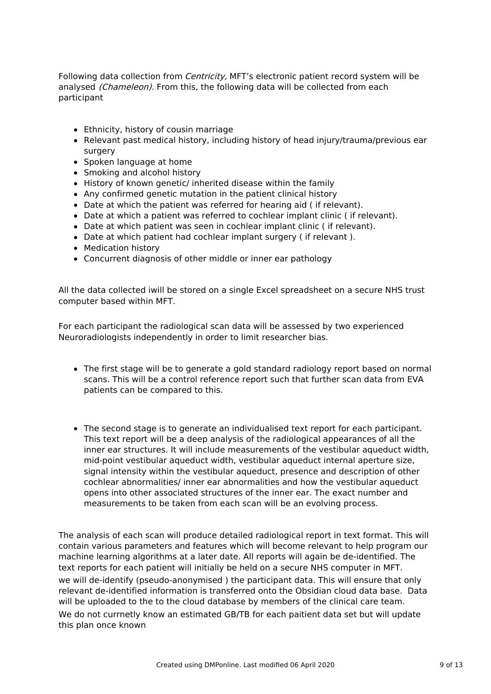Following data collection from *Centricity*, MFT's electronic patient record system will be analysed (Chameleon). From this, the following data will be collected from each participant

- Ethnicity, history of cousin marriage
- Relevant past medical history, including history of head injury/trauma/previous ear surgery
- Spoken language at home
- Smoking and alcohol history
- History of known genetic/ inherited disease within the family
- Any confirmed genetic mutation in the patient clinical history
- Date at which the patient was referred for hearing aid ( if relevant).
- Date at which a patient was referred to cochlear implant clinic ( if relevant).
- Date at which patient was seen in cochlear implant clinic ( if relevant).
- Date at which patient had cochlear implant surgery ( if relevant ).
- Medication history
- Concurrent diagnosis of other middle or inner ear pathology

All the data collected iwill be stored on a single Excel spreadsheet on a secure NHS trust computer based within MFT.

For each participant the radiological scan data will be assessed by two experienced Neuroradiologists independently in order to limit researcher bias.

- The first stage will be to generate a gold standard radiology report based on normal scans. This will be a control reference report such that further scan data from EVA patients can be compared to this.
- The second stage is to generate an individualised text report for each participant. This text report will be a deep analysis of the radiological appearances of all the inner ear structures. It will include measurements of the vestibular aqueduct width, mid-point vestibular aqueduct width, vestibular aqueduct internal aperture size, signal intensity within the vestibular aqueduct, presence and description of other cochlear abnormalities/ inner ear abnormalities and how the vestibular aqueduct opens into other associated structures of the inner ear. The exact number and measurements to be taken from each scan will be an evolving process.

The analysis of each scan will produce detailed radiological report in text format. This will contain various parameters and features which will become relevant to help program our machine learning algorithms at a later date. All reports will again be de-identified. The text reports for each patient will initially be held on a secure NHS computer in MFT. we will de-identify (pseudo-anonymised ) the participant data. This will ensure that only relevant de-identified information is transferred onto the Obsidian cloud data base. Data will be uploaded to the to the cloud database by members of the clinical care team. We do not currnetly know an estimated GB/TB for each paitient data set but will update this plan once known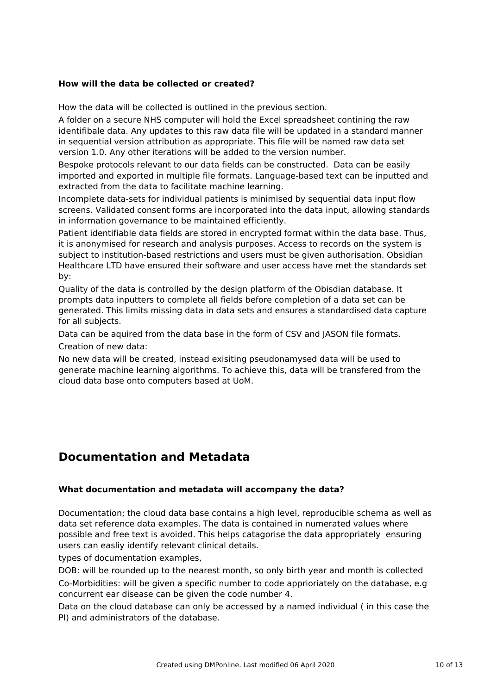### **How will the data be collected or created?**

How the data will be collected is outlined in the previous section.

A folder on a secure NHS computer will hold the Excel spreadsheet contining the raw identifibale data. Any updates to this raw data file will be updated in a standard manner in sequential version attribution as appropriate. This file will be named raw data set version 1.0. Any other iterations will be added to the version number.

Bespoke protocols relevant to our data fields can be constructed. Data can be easily imported and exported in multiple file formats. Language-based text can be inputted and extracted from the data to facilitate machine learning.

Incomplete data-sets for individual patients is minimised by sequential data input flow screens. Validated consent forms are incorporated into the data input, allowing standards in information governance to be maintained efficiently.

Patient identifiable data fields are stored in encrypted format within the data base. Thus, it is anonymised for research and analysis purposes. Access to records on the system is subject to institution-based restrictions and users must be given authorisation. Obsidian Healthcare LTD have ensured their software and user access have met the standards set by:

Quality of the data is controlled by the design platform of the Obisdian database. It prompts data inputters to complete all fields before completion of a data set can be generated. This limits missing data in data sets and ensures a standardised data capture for all subjects.

Data can be aquired from the data base in the form of CSV and JASON file formats. Creation of new data:

No new data will be created, instead exisiting pseudonamysed data will be used to generate machine learning algorithms. To achieve this, data will be transfered from the cloud data base onto computers based at UoM.

### **Documentation and Metadata**

#### **What documentation and metadata will accompany the data?**

Documentation; the cloud data base contains a high level, reproducible schema as well as data set reference data examples. The data is contained in numerated values where possible and free text is avoided. This helps catagorise the data appropriately ensuring users can easliy identify relevant clinical details.

types of documentation examples,

DOB: will be rounded up to the nearest month, so only birth year and month is collected Co-Morbidities: will be given a specific number to code apprioriately on the database, e.g concurrent ear disease can be given the code number 4.

Data on the cloud database can only be accessed by a named individual ( in this case the PI) and administrators of the database.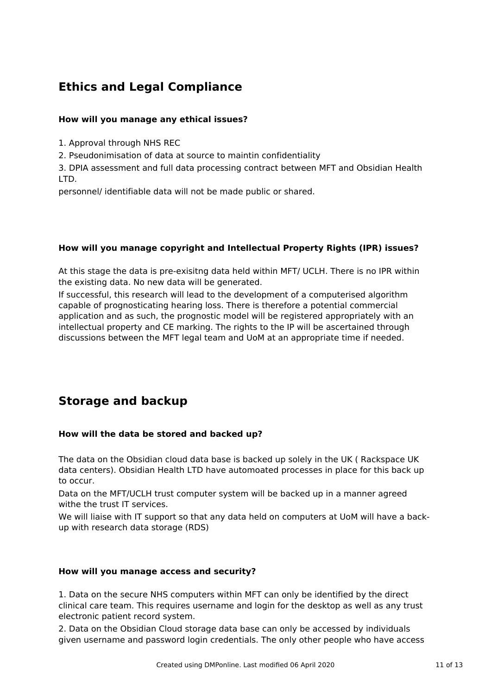# **Ethics and Legal Compliance**

### **How will you manage any ethical issues?**

1. Approval through NHS REC

2. Pseudonimisation of data at source to maintin confidentiality

3. DPIA assessment and full data processing contract between MFT and Obsidian Health LTD.

personnel/ identifiable data will not be made public or shared.

### **How will you manage copyright and Intellectual Property Rights (IPR) issues?**

At this stage the data is pre-exisitng data held within MFT/ UCLH. There is no IPR within the existing data. No new data will be generated.

If successful, this research will lead to the development of a computerised algorithm capable of prognosticating hearing loss. There is therefore a potential commercial application and as such, the prognostic model will be registered appropriately with an intellectual property and CE marking. The rights to the IP will be ascertained through discussions between the MFT legal team and UoM at an appropriate time if needed.

# **Storage and backup**

### **How will the data be stored and backed up?**

The data on the Obsidian cloud data base is backed up solely in the UK ( Rackspace UK data centers). Obsidian Health LTD have automoated processes in place for this back up to occur.

Data on the MFT/UCLH trust computer system will be backed up in a manner agreed withe the trust IT services.

We will liaise with IT support so that any data held on computers at UoM will have a backup with research data storage (RDS)

### **How will you manage access and security?**

1. Data on the secure NHS computers within MFT can only be identified by the direct clinical care team. This requires username and login for the desktop as well as any trust electronic patient record system.

2. Data on the Obsidian Cloud storage data base can only be accessed by individuals given username and password login credentials. The only other people who have access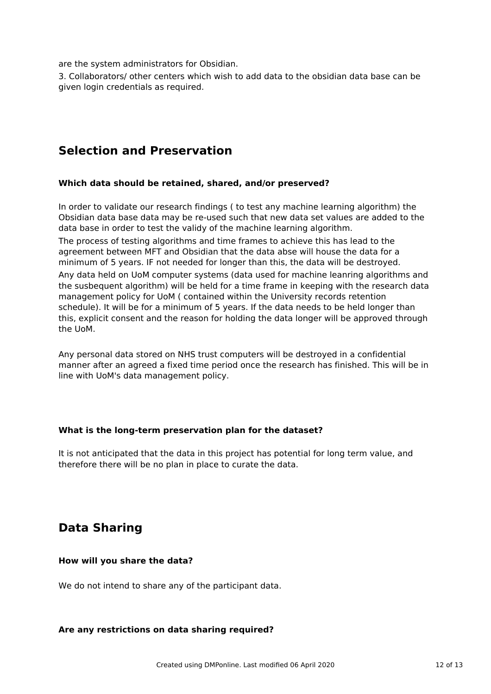are the system administrators for Obsidian.

3. Collaborators/ other centers which wish to add data to the obsidian data base can be given login credentials as required.

## **Selection and Preservation**

### **Which data should be retained, shared, and/or preserved?**

In order to validate our research findings ( to test any machine learning algorithm) the Obsidian data base data may be re-used such that new data set values are added to the data base in order to test the validy of the machine learning algorithm.

The process of testing algorithms and time frames to achieve this has lead to the agreement between MFT and Obsidian that the data abse will house the data for a minimum of 5 years. IF not needed for longer than this, the data will be destroyed.

Any data held on UoM computer systems (data used for machine leanring algorithms and the susbequent algorithm) will be held for a time frame in keeping with the research data management policy for UoM ( contained within the University records retention schedule). It will be for a minimum of 5 years. If the data needs to be held longer than this, explicit consent and the reason for holding the data longer will be approved through the UoM.

Any personal data stored on NHS trust computers will be destroyed in a confidential manner after an agreed a fixed time period once the research has finished. This will be in line with UoM's data management policy.

### **What is the long-term preservation plan for the dataset?**

It is not anticipated that the data in this project has potential for long term value, and therefore there will be no plan in place to curate the data.

## **Data Sharing**

#### **How will you share the data?**

We do not intend to share any of the participant data.

#### **Are any restrictions on data sharing required?**